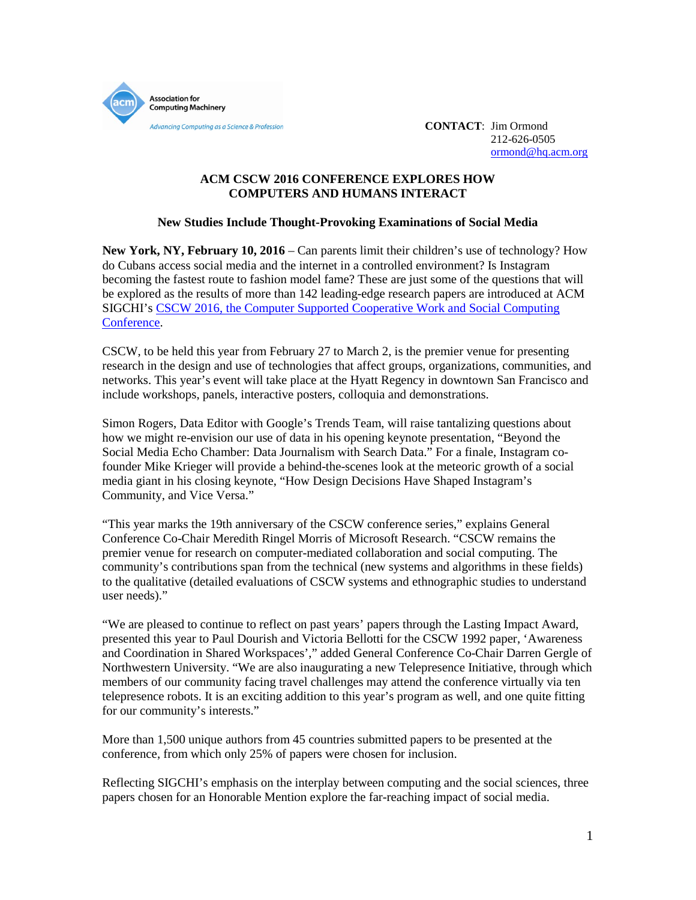

212-626-0505 [ormond@hq.acm.org](mailto:ormond@hq.acm.org)

# **ACM CSCW 2016 CONFERENCE EXPLORES HOW COMPUTERS AND HUMANS INTERACT**

## **New Studies Include Thought-Provoking Examinations of Social Media**

**New York, NY, February 10, 2016** – Can parents limit their children's use of technology? How do Cubans access social media and the internet in a controlled environment? Is Instagram becoming the fastest route to fashion model fame? These are just some of the questions that will be explored as the results of more than 142 leading-edge research papers are introduced at ACM SIGCHI's CSCW [2016, the Computer Supported Cooperative Work and Social Computing](http://cscw.acm.org/2016/)  [Conference.](http://cscw.acm.org/2016/)

CSCW, to be held this year from February 27 to March 2, is the premier venue for presenting research in the design and use of technologies that affect groups, organizations, communities, and networks. This year's event will take place at the Hyatt Regency in downtown San Francisco and include workshops, panels, interactive posters, colloquia and demonstrations.

Simon Rogers, Data Editor with Google's Trends Team, will raise tantalizing questions about how we might re-envision our use of data in his opening keynote presentation, "Beyond the Social Media Echo Chamber: Data Journalism with Search Data." For a finale, Instagram cofounder Mike Krieger will provide a behind-the-scenes look at the meteoric growth of a social media giant in his closing keynote, "How Design Decisions Have Shaped Instagram's Community, and Vice Versa."

"This year marks the 19th anniversary of the CSCW conference series," explains General Conference Co-Chair Meredith Ringel Morris of Microsoft Research. "CSCW remains the premier venue for research on computer-mediated collaboration and social computing. The community's contributions span from the technical (new systems and algorithms in these fields) to the qualitative (detailed evaluations of CSCW systems and ethnographic studies to understand user needs)."

"We are pleased to continue to reflect on past years' papers through the Lasting Impact Award, presented this year to Paul Dourish and Victoria Bellotti for the CSCW 1992 paper, 'Awareness and Coordination in Shared Workspaces'," added General Conference Co-Chair Darren Gergle of Northwestern University. "We are also inaugurating a new Telepresence Initiative, through which members of our community facing travel challenges may attend the conference virtually via ten telepresence robots. It is an exciting addition to this year's program as well, and one quite fitting for our community's interests."

More than 1,500 unique authors from 45 countries submitted papers to be presented at the conference, from which only 25% of papers were chosen for inclusion.

Reflecting SIGCHI's emphasis on the interplay between computing and the social sciences, three papers chosen for an Honorable Mention explore the far-reaching impact of social media.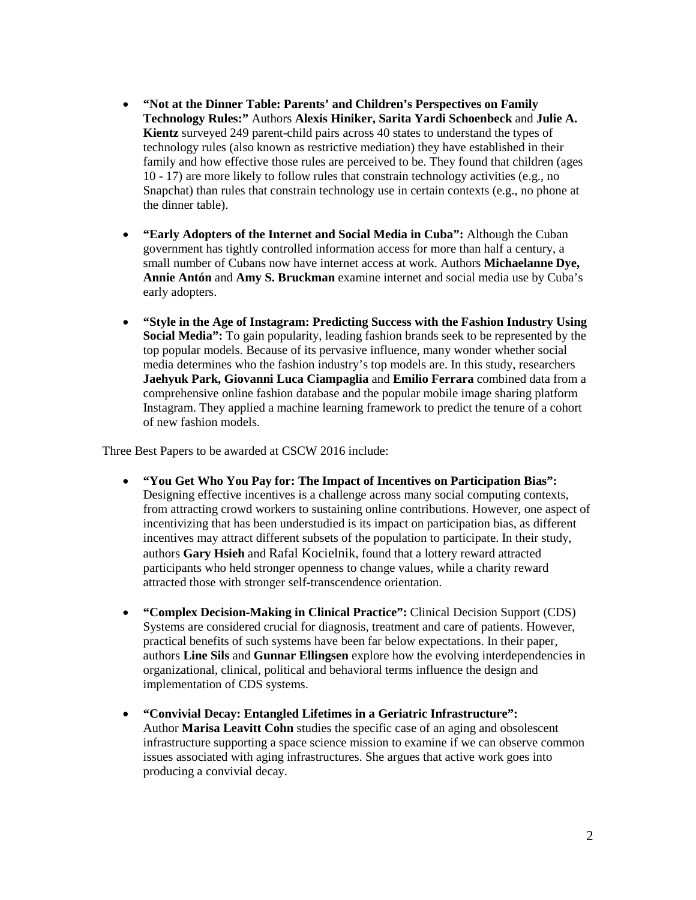- **"Not at the Dinner Table: Parents' and Children's Perspectives on Family Technology Rules:"** Authors **Alexis Hiniker, Sarita Yardi Schoenbeck** and **Julie A. Kientz** surveyed 249 parent-child pairs across 40 states to understand the types of technology rules (also known as restrictive mediation) they have established in their family and how effective those rules are perceived to be. They found that children (ages 10 - 17) are more likely to follow rules that constrain technology activities (e.g., no Snapchat) than rules that constrain technology use in certain contexts (e.g., no phone at the dinner table).
- **"Early Adopters of the Internet and Social Media in Cuba":** Although the Cuban government has tightly controlled information access for more than half a century, a small number of Cubans now have internet access at work. Authors **Michaelanne Dye, Annie Antón** and **Amy S. Bruckman** examine internet and social media use by Cuba's early adopters.
- **"Style in the Age of Instagram: Predicting Success with the Fashion Industry Using Social Media":** To gain popularity, leading fashion brands seek to be represented by the top popular models. Because of its pervasive influence, many wonder whether social media determines who the fashion industry's top models are. In this study, researchers **Jaehyuk Park, Giovanni Luca Ciampaglia** and **Emilio Ferrara** combined data from a comprehensive online fashion database and the popular mobile image sharing platform Instagram. They applied a machine learning framework to predict the tenure of a cohort of new fashion models.

Three Best Papers to be awarded at CSCW 2016 include:

- **"You Get Who You Pay for: The Impact of Incentives on Participation Bias":**  Designing effective incentives is a challenge across many social computing contexts, from attracting crowd workers to sustaining online contributions. However, one aspect of incentivizing that has been understudied is its impact on participation bias, as different incentives may attract different subsets of the population to participate. In their study, authors **Gary Hsieh** and Rafal Kocielnik, found that a lottery reward attracted participants who held stronger openness to change values, while a charity reward attracted those with stronger self-transcendence orientation.
- **"Complex Decision-Making in Clinical Practice":** Clinical Decision Support (CDS) Systems are considered crucial for diagnosis, treatment and care of patients. However, practical benefits of such systems have been far below expectations. In their paper, authors **Line Sils** and **Gunnar Ellingsen** explore how the evolving interdependencies in organizational, clinical, political and behavioral terms influence the design and implementation of CDS systems.
- **"Convivial Decay: Entangled Lifetimes in a Geriatric Infrastructure":** Author **Marisa Leavitt Cohn** studies the specific case of an aging and obsolescent infrastructure supporting a space science mission to examine if we can observe common issues associated with aging infrastructures. She argues that active work goes into producing a convivial decay.